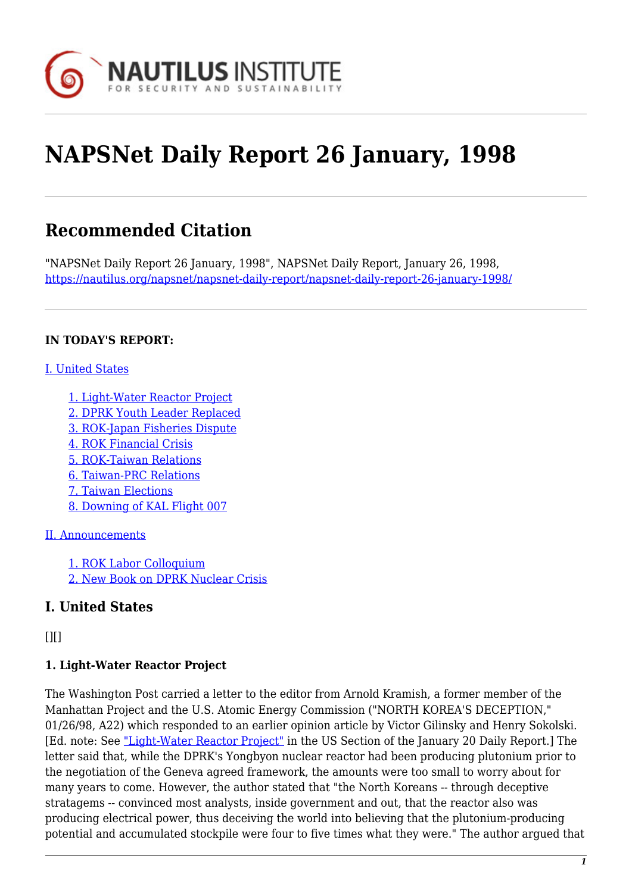

# **NAPSNet Daily Report 26 January, 1998**

## **Recommended Citation**

"NAPSNet Daily Report 26 January, 1998", NAPSNet Daily Report, January 26, 1998, <https://nautilus.org/napsnet/napsnet-daily-report/napsnet-daily-report-26-january-1998/>

#### **IN TODAY'S REPORT:**

#### [I. United States](#page--1-0)

[1. Light-Water Reactor Project](#page-0-0) [2. DPRK Youth Leader Replaced](#page-1-0) [3. ROK-Japan Fisheries Dispute](#page-1-1) [4. ROK Financial Crisis](#page-1-2) [5. ROK-Taiwan Relations](#page-1-3) [6. Taiwan-PRC Relations](#page-2-0) [7. Taiwan Elections](#page-2-1) [8. Downing of KAL Flight 007](#page-2-2)

#### [II. Announcements](#page-2-3)

[1. ROK Labor Colloquium](#page-2-4) [2. New Book on DPRK Nuclear Crisis](#page-3-0)

#### **I. United States**

<span id="page-0-0"></span> $[1]$ 

#### **1. Light-Water Reactor Project**

The Washington Post carried a letter to the editor from Arnold Kramish, a former member of the Manhattan Project and the U.S. Atomic Energy Commission ("NORTH KOREA'S DECEPTION," 01/26/98, A22) which responded to an earlier opinion article by Victor Gilinsky and Henry Sokolski. [Ed. note: See ["Light-Water Reactor Project"]( http://www.nautilus.org/napsnet/recent_daily_reports/01_98_reports/JAN20.html#item1) in the US Section of the January 20 Daily Report.] The letter said that, while the DPRK's Yongbyon nuclear reactor had been producing plutonium prior to the negotiation of the Geneva agreed framework, the amounts were too small to worry about for many years to come. However, the author stated that "the North Koreans -- through deceptive stratagems -- convinced most analysts, inside government and out, that the reactor also was producing electrical power, thus deceiving the world into believing that the plutonium-producing potential and accumulated stockpile were four to five times what they were." The author argued that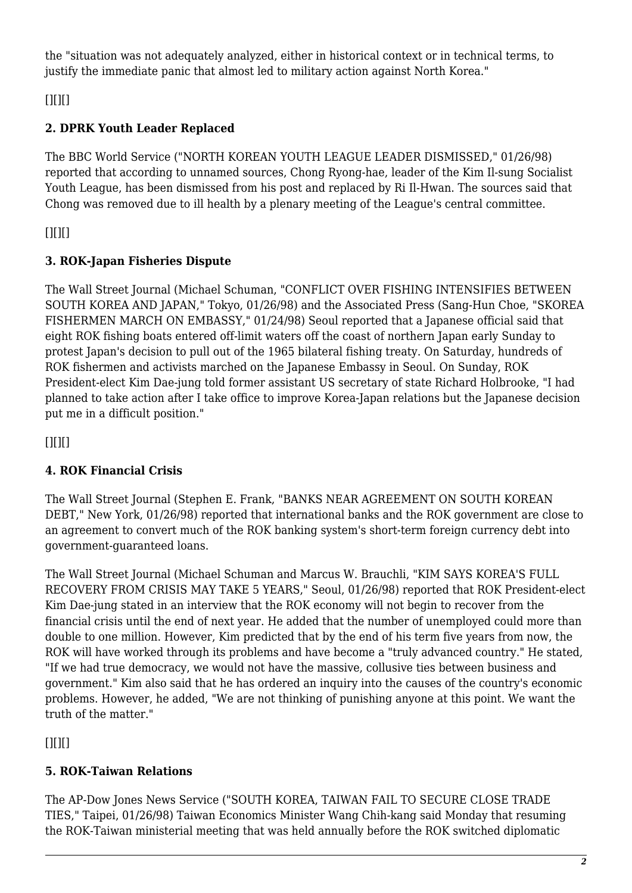the "situation was not adequately analyzed, either in historical context or in technical terms, to justify the immediate panic that almost led to military action against North Korea."

<span id="page-1-0"></span> $[$ [ $]$  $[$  $]$  $[$  $]$  $[$  $]$  $[$  $]$  $[$  $]$  $[$  $]$  $[$  $]$  $[$  $]$  $[$  $]$  $[$  $]$  $[$  $]$  $[$  $]$  $[$  $]$  $[$  $]$  $[$  $]$  $[$  $]$  $[$  $]$  $[$  $]$  $[$  $]$  $[$  $]$  $[$  $]$  $[$  $]$  $[$  $]$  $[$  $]$  $[$  $]$  $[$  $]$  $[$  $]$  $[$  $]$  $[$  $]$  $[$  $]$  $[$  $]$  $[$  $]$  $[$  $]$  $[$  $]$  $[$  $]$  $[$ 

#### **2. DPRK Youth Leader Replaced**

The BBC World Service ("NORTH KOREAN YOUTH LEAGUE LEADER DISMISSED," 01/26/98) reported that according to unnamed sources, Chong Ryong-hae, leader of the Kim Il-sung Socialist Youth League, has been dismissed from his post and replaced by Ri Il-Hwan. The sources said that Chong was removed due to ill health by a plenary meeting of the League's central committee.

<span id="page-1-1"></span> $[$ [ $]$  $[$  $]$  $[$  $]$  $[$  $]$  $[$  $]$  $[$  $]$  $[$  $]$  $[$  $]$  $[$  $]$  $[$  $]$  $[$  $]$  $[$  $]$  $[$  $]$  $[$  $]$  $[$  $]$  $[$  $]$  $[$  $]$  $[$  $]$  $[$  $]$  $[$  $]$  $[$  $]$  $[$  $]$  $[$  $]$  $[$  $]$  $[$  $]$  $[$  $]$  $[$  $]$  $[$  $]$  $[$  $]$  $[$  $]$  $[$  $]$  $[$  $]$  $[$  $]$  $[$  $]$  $[$  $]$  $[$  $]$  $[$ 

## **3. ROK-Japan Fisheries Dispute**

The Wall Street Journal (Michael Schuman, "CONFLICT OVER FISHING INTENSIFIES BETWEEN SOUTH KOREA AND JAPAN," Tokyo, 01/26/98) and the Associated Press (Sang-Hun Choe, "SKOREA FISHERMEN MARCH ON EMBASSY," 01/24/98) Seoul reported that a Japanese official said that eight ROK fishing boats entered off-limit waters off the coast of northern Japan early Sunday to protest Japan's decision to pull out of the 1965 bilateral fishing treaty. On Saturday, hundreds of ROK fishermen and activists marched on the Japanese Embassy in Seoul. On Sunday, ROK President-elect Kim Dae-jung told former assistant US secretary of state Richard Holbrooke, "I had planned to take action after I take office to improve Korea-Japan relations but the Japanese decision put me in a difficult position."

<span id="page-1-2"></span> $[$ [ $]$  $[$  $]$  $[$  $]$  $[$  $]$  $[$  $]$  $[$  $]$  $[$  $]$  $[$  $]$  $[$  $]$  $[$  $]$  $[$  $]$  $[$  $]$  $[$  $]$  $[$  $]$  $[$  $]$  $[$  $]$  $[$  $]$  $[$  $]$  $[$  $]$  $[$  $]$  $[$  $]$  $[$  $]$  $[$  $]$  $[$  $]$  $[$  $]$  $[$  $]$  $[$  $]$  $[$  $]$  $[$  $]$  $[$  $]$  $[$  $]$  $[$  $]$  $[$  $]$  $[$  $]$  $[$  $]$  $[$  $]$  $[$ 

## **4. ROK Financial Crisis**

The Wall Street Journal (Stephen E. Frank, "BANKS NEAR AGREEMENT ON SOUTH KOREAN DEBT," New York, 01/26/98) reported that international banks and the ROK government are close to an agreement to convert much of the ROK banking system's short-term foreign currency debt into government-guaranteed loans.

The Wall Street Journal (Michael Schuman and Marcus W. Brauchli, "KIM SAYS KOREA'S FULL RECOVERY FROM CRISIS MAY TAKE 5 YEARS," Seoul, 01/26/98) reported that ROK President-elect Kim Dae-jung stated in an interview that the ROK economy will not begin to recover from the financial crisis until the end of next year. He added that the number of unemployed could more than double to one million. However, Kim predicted that by the end of his term five years from now, the ROK will have worked through its problems and have become a "truly advanced country." He stated, "If we had true democracy, we would not have the massive, collusive ties between business and government." Kim also said that he has ordered an inquiry into the causes of the country's economic problems. However, he added, "We are not thinking of punishing anyone at this point. We want the truth of the matter."

<span id="page-1-3"></span> $[$ [ $]$  $[$  $]$  $[$  $]$  $[$  $]$  $[$  $]$  $[$  $]$  $[$  $]$  $[$  $]$  $[$  $]$  $[$  $]$  $[$  $]$  $[$  $]$  $[$  $]$  $[$  $]$  $[$  $]$  $[$  $]$  $[$  $]$  $[$  $]$  $[$  $]$  $[$  $]$  $[$  $]$  $[$  $]$  $[$  $]$  $[$  $]$  $[$  $]$  $[$  $]$  $[$  $]$  $[$  $]$  $[$  $]$  $[$  $]$  $[$  $]$  $[$  $]$  $[$  $]$  $[$  $]$  $[$  $]$  $[$  $]$  $[$ 

## **5. ROK-Taiwan Relations**

The AP-Dow Jones News Service ("SOUTH KOREA, TAIWAN FAIL TO SECURE CLOSE TRADE TIES," Taipei, 01/26/98) Taiwan Economics Minister Wang Chih-kang said Monday that resuming the ROK-Taiwan ministerial meeting that was held annually before the ROK switched diplomatic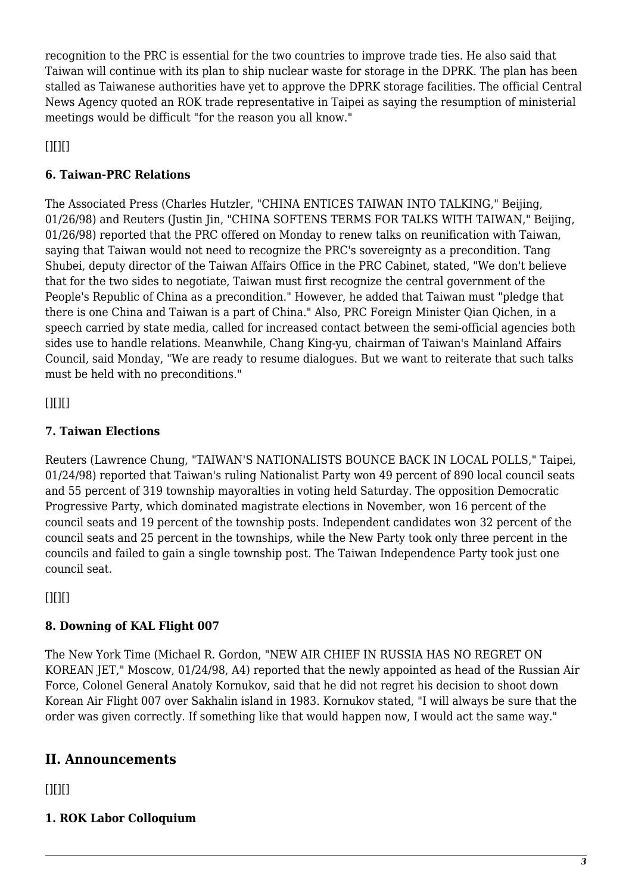recognition to the PRC is essential for the two countries to improve trade ties. He also said that Taiwan will continue with its plan to ship nuclear waste for storage in the DPRK. The plan has been stalled as Taiwanese authorities have yet to approve the DPRK storage facilities. The official Central News Agency quoted an ROK trade representative in Taipei as saying the resumption of ministerial meetings would be difficult "for the reason you all know."

<span id="page-2-0"></span> $[$ [ $]$  $[$  $]$  $[$  $]$  $[$  $]$  $[$  $]$  $[$  $]$  $[$  $]$  $[$  $]$  $[$  $]$  $[$  $]$  $[$  $]$  $[$  $]$  $[$  $]$  $[$  $]$  $[$  $]$  $[$  $]$  $[$  $]$  $[$  $]$  $[$  $]$  $[$  $]$  $[$  $]$  $[$  $]$  $[$  $]$  $[$  $]$  $[$  $]$  $[$  $]$  $[$  $]$  $[$  $]$  $[$  $]$  $[$  $]$  $[$  $]$  $[$  $]$  $[$  $]$  $[$  $]$  $[$  $]$  $[$  $]$  $[$ 

#### **6. Taiwan-PRC Relations**

The Associated Press (Charles Hutzler, "CHINA ENTICES TAIWAN INTO TALKING," Beijing, 01/26/98) and Reuters (Justin Jin, "CHINA SOFTENS TERMS FOR TALKS WITH TAIWAN," Beijing, 01/26/98) reported that the PRC offered on Monday to renew talks on reunification with Taiwan, saying that Taiwan would not need to recognize the PRC's sovereignty as a precondition. Tang Shubei, deputy director of the Taiwan Affairs Office in the PRC Cabinet, stated, "We don't believe that for the two sides to negotiate, Taiwan must first recognize the central government of the People's Republic of China as a precondition." However, he added that Taiwan must "pledge that there is one China and Taiwan is a part of China." Also, PRC Foreign Minister Qian Qichen, in a speech carried by state media, called for increased contact between the semi-official agencies both sides use to handle relations. Meanwhile, Chang King-yu, chairman of Taiwan's Mainland Affairs Council, said Monday, "We are ready to resume dialogues. But we want to reiterate that such talks must be held with no preconditions."

<span id="page-2-1"></span> $[$ [ $]$  $[$  $]$  $[$  $]$  $[$  $]$  $[$  $]$  $[$  $]$  $[$  $]$  $[$  $]$  $[$  $]$  $[$  $]$  $[$  $]$  $[$  $]$  $[$  $]$  $[$  $]$  $[$  $]$  $[$  $]$  $[$  $]$  $[$  $]$  $[$  $]$  $[$  $]$  $[$  $]$  $[$  $]$  $[$  $]$  $[$  $]$  $[$  $]$  $[$  $]$  $[$  $]$  $[$  $]$  $[$  $]$  $[$  $]$  $[$  $]$  $[$  $]$  $[$  $]$  $[$  $]$  $[$  $]$  $[$  $]$  $[$ 

## **7. Taiwan Elections**

Reuters (Lawrence Chung, "TAIWAN'S NATIONALISTS BOUNCE BACK IN LOCAL POLLS," Taipei, 01/24/98) reported that Taiwan's ruling Nationalist Party won 49 percent of 890 local council seats and 55 percent of 319 township mayoralties in voting held Saturday. The opposition Democratic Progressive Party, which dominated magistrate elections in November, won 16 percent of the council seats and 19 percent of the township posts. Independent candidates won 32 percent of the council seats and 25 percent in the townships, while the New Party took only three percent in the councils and failed to gain a single township post. The Taiwan Independence Party took just one council seat.

<span id="page-2-2"></span> $[$ [ $]$  $[$  $]$  $[$  $]$  $[$  $]$  $[$  $]$  $[$  $]$  $[$  $]$  $[$  $]$  $[$  $]$  $[$  $]$  $[$  $]$  $[$  $]$  $[$  $]$  $[$  $]$  $[$  $]$  $[$  $]$  $[$  $]$  $[$  $]$  $[$  $]$  $[$  $]$  $[$  $]$  $[$  $]$  $[$  $]$  $[$  $]$  $[$  $]$  $[$  $]$  $[$  $]$  $[$  $]$  $[$  $]$  $[$  $]$  $[$  $]$  $[$  $]$  $[$  $]$  $[$  $]$  $[$  $]$  $[$  $]$  $[$ 

## **8. Downing of KAL Flight 007**

The New York Time (Michael R. Gordon, "NEW AIR CHIEF IN RUSSIA HAS NO REGRET ON KOREAN JET," Moscow, 01/24/98, A4) reported that the newly appointed as head of the Russian Air Force, Colonel General Anatoly Kornukov, said that he did not regret his decision to shoot down Korean Air Flight 007 over Sakhalin island in 1983. Kornukov stated, "I will always be sure that the order was given correctly. If something like that would happen now, I would act the same way."

## <span id="page-2-3"></span>**II. Announcements**

<span id="page-2-4"></span> $[$ [ $]$  $[$  $]$  $[$  $]$  $[$  $]$  $[$  $]$  $[$  $]$  $[$  $]$  $[$  $]$  $[$  $]$  $[$  $]$  $[$  $]$  $[$  $]$  $[$  $]$  $[$  $]$  $[$  $]$  $[$  $]$  $[$  $]$  $[$  $]$  $[$  $]$  $[$  $]$  $[$  $]$  $[$  $]$  $[$  $]$  $[$  $]$  $[$  $]$  $[$  $]$  $[$  $]$  $[$  $]$  $[$  $]$  $[$  $]$  $[$  $]$  $[$  $]$  $[$  $]$  $[$  $]$  $[$  $]$  $[$  $]$  $[$ 

## **1. ROK Labor Colloquium**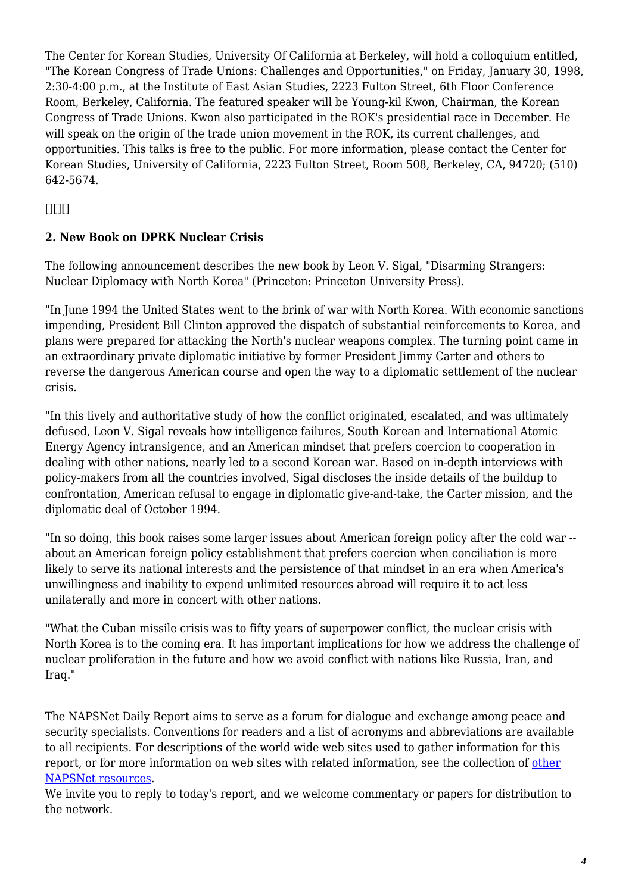The Center for Korean Studies, University Of California at Berkeley, will hold a colloquium entitled, "The Korean Congress of Trade Unions: Challenges and Opportunities," on Friday, January 30, 1998, 2:30-4:00 p.m., at the Institute of East Asian Studies, 2223 Fulton Street, 6th Floor Conference Room, Berkeley, California. The featured speaker will be Young-kil Kwon, Chairman, the Korean Congress of Trade Unions. Kwon also participated in the ROK's presidential race in December. He will speak on the origin of the trade union movement in the ROK, its current challenges, and opportunities. This talks is free to the public. For more information, please contact the Center for Korean Studies, University of California, 2223 Fulton Street, Room 508, Berkeley, CA, 94720; (510) 642-5674.

#### <span id="page-3-0"></span> $[$ [ $]$  $[$  $]$  $[$  $]$  $[$  $]$  $[$  $]$  $[$  $]$  $[$  $]$  $[$  $]$  $[$  $]$  $[$  $]$  $[$  $]$  $[$  $]$  $[$  $]$  $[$  $]$  $[$  $]$  $[$  $]$  $[$  $]$  $[$  $]$  $[$  $]$  $[$  $]$  $[$  $]$  $[$  $]$  $[$  $]$  $[$  $]$  $[$  $]$  $[$  $]$  $[$  $]$  $[$  $]$  $[$  $]$  $[$  $]$  $[$  $]$  $[$  $]$  $[$  $]$  $[$  $]$  $[$  $]$  $[$  $]$  $[$

#### **2. New Book on DPRK Nuclear Crisis**

The following announcement describes the new book by Leon V. Sigal, "Disarming Strangers: Nuclear Diplomacy with North Korea" (Princeton: Princeton University Press).

"In June 1994 the United States went to the brink of war with North Korea. With economic sanctions impending, President Bill Clinton approved the dispatch of substantial reinforcements to Korea, and plans were prepared for attacking the North's nuclear weapons complex. The turning point came in an extraordinary private diplomatic initiative by former President Jimmy Carter and others to reverse the dangerous American course and open the way to a diplomatic settlement of the nuclear crisis.

"In this lively and authoritative study of how the conflict originated, escalated, and was ultimately defused, Leon V. Sigal reveals how intelligence failures, South Korean and International Atomic Energy Agency intransigence, and an American mindset that prefers coercion to cooperation in dealing with other nations, nearly led to a second Korean war. Based on in-depth interviews with policy-makers from all the countries involved, Sigal discloses the inside details of the buildup to confrontation, American refusal to engage in diplomatic give-and-take, the Carter mission, and the diplomatic deal of October 1994.

"In so doing, this book raises some larger issues about American foreign policy after the cold war - about an American foreign policy establishment that prefers coercion when conciliation is more likely to serve its national interests and the persistence of that mindset in an era when America's unwillingness and inability to expend unlimited resources abroad will require it to act less unilaterally and more in concert with other nations.

"What the Cuban missile crisis was to fifty years of superpower conflict, the nuclear crisis with North Korea is to the coming era. It has important implications for how we address the challenge of nuclear proliferation in the future and how we avoid conflict with nations like Russia, Iran, and Iraq."

The NAPSNet Daily Report aims to serve as a forum for dialogue and exchange among peace and security specialists. Conventions for readers and a list of acronyms and abbreviations are available to all recipients. For descriptions of the world wide web sites used to gather information for this report, or for more information on web sites with related information, see the collection of [other](http://www.nautilus.org/napsnet/resources.html) [NAPSNet resources.](http://www.nautilus.org/napsnet/resources.html)

We invite you to reply to today's report, and we welcome commentary or papers for distribution to the network.